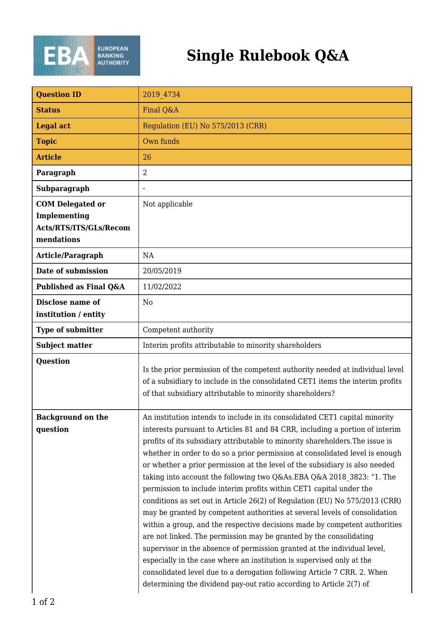

| <b>Question ID</b>                                                              | 2019 4734                                                                                                                                                                                                                                                                                                                                                                                                                                                                                                                                                                                                                                                                                                                                                                                                                                                                                                                                                                                                                                                                                                                                                                           |
|---------------------------------------------------------------------------------|-------------------------------------------------------------------------------------------------------------------------------------------------------------------------------------------------------------------------------------------------------------------------------------------------------------------------------------------------------------------------------------------------------------------------------------------------------------------------------------------------------------------------------------------------------------------------------------------------------------------------------------------------------------------------------------------------------------------------------------------------------------------------------------------------------------------------------------------------------------------------------------------------------------------------------------------------------------------------------------------------------------------------------------------------------------------------------------------------------------------------------------------------------------------------------------|
| <b>Status</b>                                                                   | Final Q&A                                                                                                                                                                                                                                                                                                                                                                                                                                                                                                                                                                                                                                                                                                                                                                                                                                                                                                                                                                                                                                                                                                                                                                           |
| <b>Legal act</b>                                                                | Regulation (EU) No 575/2013 (CRR)                                                                                                                                                                                                                                                                                                                                                                                                                                                                                                                                                                                                                                                                                                                                                                                                                                                                                                                                                                                                                                                                                                                                                   |
| <b>Topic</b>                                                                    | Own funds                                                                                                                                                                                                                                                                                                                                                                                                                                                                                                                                                                                                                                                                                                                                                                                                                                                                                                                                                                                                                                                                                                                                                                           |
| <b>Article</b>                                                                  | 26                                                                                                                                                                                                                                                                                                                                                                                                                                                                                                                                                                                                                                                                                                                                                                                                                                                                                                                                                                                                                                                                                                                                                                                  |
| Paragraph                                                                       | 2                                                                                                                                                                                                                                                                                                                                                                                                                                                                                                                                                                                                                                                                                                                                                                                                                                                                                                                                                                                                                                                                                                                                                                                   |
| Subparagraph                                                                    |                                                                                                                                                                                                                                                                                                                                                                                                                                                                                                                                                                                                                                                                                                                                                                                                                                                                                                                                                                                                                                                                                                                                                                                     |
| <b>COM Delegated or</b><br>Implementing<br>Acts/RTS/ITS/GLs/Recom<br>mendations | Not applicable                                                                                                                                                                                                                                                                                                                                                                                                                                                                                                                                                                                                                                                                                                                                                                                                                                                                                                                                                                                                                                                                                                                                                                      |
| Article/Paragraph                                                               | NA                                                                                                                                                                                                                                                                                                                                                                                                                                                                                                                                                                                                                                                                                                                                                                                                                                                                                                                                                                                                                                                                                                                                                                                  |
| Date of submission                                                              | 20/05/2019                                                                                                                                                                                                                                                                                                                                                                                                                                                                                                                                                                                                                                                                                                                                                                                                                                                                                                                                                                                                                                                                                                                                                                          |
| Published as Final Q&A                                                          | 11/02/2022                                                                                                                                                                                                                                                                                                                                                                                                                                                                                                                                                                                                                                                                                                                                                                                                                                                                                                                                                                                                                                                                                                                                                                          |
| Disclose name of<br>institution / entity                                        | N <sub>0</sub>                                                                                                                                                                                                                                                                                                                                                                                                                                                                                                                                                                                                                                                                                                                                                                                                                                                                                                                                                                                                                                                                                                                                                                      |
| Type of submitter                                                               | Competent authority                                                                                                                                                                                                                                                                                                                                                                                                                                                                                                                                                                                                                                                                                                                                                                                                                                                                                                                                                                                                                                                                                                                                                                 |
| <b>Subject matter</b>                                                           | Interim profits attributable to minority shareholders                                                                                                                                                                                                                                                                                                                                                                                                                                                                                                                                                                                                                                                                                                                                                                                                                                                                                                                                                                                                                                                                                                                               |
| Question                                                                        | Is the prior permission of the competent authority needed at individual level<br>of a subsidiary to include in the consolidated CET1 items the interim profits<br>of that subsidiary attributable to minority shareholders?                                                                                                                                                                                                                                                                                                                                                                                                                                                                                                                                                                                                                                                                                                                                                                                                                                                                                                                                                         |
| <b>Background on the</b><br>question                                            | An institution intends to include in its consolidated CET1 capital minority<br>interests pursuant to Articles 81 and 84 CRR, including a portion of interim<br>profits of its subsidiary attributable to minority shareholders. The issue is<br>whether in order to do so a prior permission at consolidated level is enough<br>or whether a prior permission at the level of the subsidiary is also needed<br>taking into account the following two Q&As.EBA Q&A 2018 3823: "1. The<br>permission to include interim profits within CET1 capital under the<br>conditions as set out in Article 26(2) of Regulation (EU) No 575/2013 (CRR)<br>may be granted by competent authorities at several levels of consolidation<br>within a group, and the respective decisions made by competent authorities<br>are not linked. The permission may be granted by the consolidating<br>supervisor in the absence of permission granted at the individual level,<br>especially in the case where an institution is supervised only at the<br>consolidated level due to a derogation following Article 7 CRR. 2. When<br>determining the dividend pay-out ratio according to Article 2(7) of |